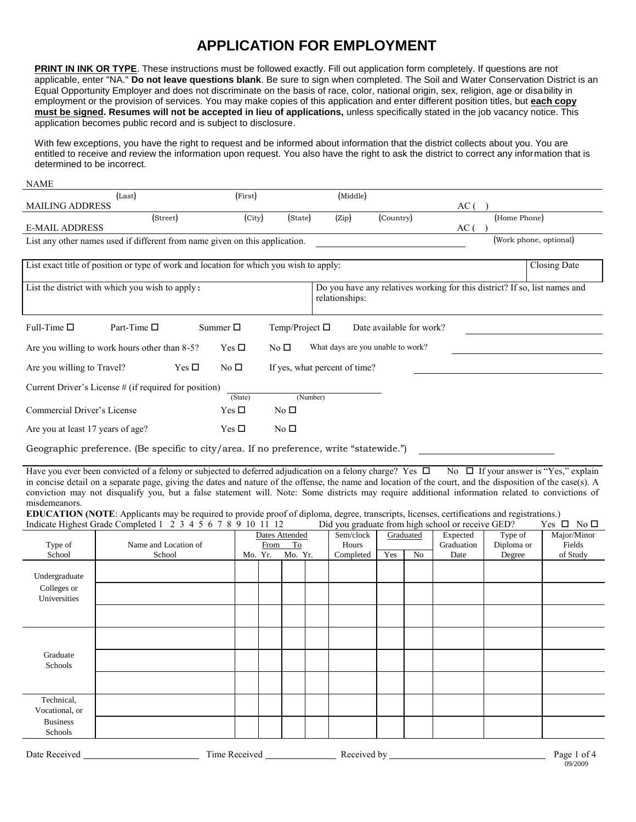## **APPLICATION FOR EMPLOYMENT**

**PRINT IN INK OR TYPE**. These instructions must be followed exactly. Fill out application form completely. If questions are not applicable, enter "NA." **Do not leave questions blank**. Be sure to sign when completed. The Soil and Water Conservation District is an Equal Opportunity Employer and does not discriminate on the basis of race, color, national origin, sex, religion, age or disability in employment or the provision of services. You may make copies of this application and enter different position titles, but **each copy must be signed. Resumes will not be accepted in lieu of applications,** unless specifically stated in the job vacancy notice. This application becomes public record and is subject to disclosure.

With few exceptions, you have the right to request and be informed about information that the district collects about you. You are entitled to receive and review the information upon request. You also have the right to ask the district to correct any information that is determined to be incorrect.

| <b>NAME</b>                                                                 |                        |         |         |          |           |              |
|-----------------------------------------------------------------------------|------------------------|---------|---------|----------|-----------|--------------|
|                                                                             | (Last)                 | (First) |         | (Middle) |           |              |
| <b>MAILING ADDRESS</b>                                                      |                        |         |         |          |           | AС           |
|                                                                             | (Street)               | (City)  | (State) | (Zip)    | (Country) | (Home Phone) |
| <b>E-MAIL ADDRESS</b>                                                       |                        |         |         |          |           | AC.          |
| List any other names used if different from name given on this application. | (Work phone, optional) |         |         |          |           |              |

|                                   | Closing Date<br>List exact title of position or type of work and location for which you wish to apply: |                  |                                                                            |  |  |  |  |  |  |  |
|-----------------------------------|--------------------------------------------------------------------------------------------------------|------------------|----------------------------------------------------------------------------|--|--|--|--|--|--|--|
|                                   |                                                                                                        |                  |                                                                            |  |  |  |  |  |  |  |
|                                   | List the district with which you wish to apply:                                                        |                  | Do you have any relatives working for this district? If so, list names and |  |  |  |  |  |  |  |
|                                   |                                                                                                        |                  | relationships:                                                             |  |  |  |  |  |  |  |
|                                   |                                                                                                        |                  |                                                                            |  |  |  |  |  |  |  |
|                                   |                                                                                                        |                  |                                                                            |  |  |  |  |  |  |  |
| Full-Time $\square$               | Part-Time $\square$                                                                                    | Summer $\square$ | Temp/Project $\Box$<br>Date available for work?                            |  |  |  |  |  |  |  |
|                                   |                                                                                                        |                  |                                                                            |  |  |  |  |  |  |  |
|                                   | Are you willing to work hours other than 8-5?                                                          | Yes $\Box$       | What days are you unable to work?<br>No $\Box$                             |  |  |  |  |  |  |  |
| Are you willing to Travel?        | Yes $\Box$                                                                                             | No $\square$     | If yes, what percent of time?                                              |  |  |  |  |  |  |  |
|                                   |                                                                                                        |                  |                                                                            |  |  |  |  |  |  |  |
|                                   | Current Driver's License # (if required for position)                                                  |                  |                                                                            |  |  |  |  |  |  |  |
|                                   |                                                                                                        | (State)          | (Number)                                                                   |  |  |  |  |  |  |  |
| Commercial Driver's License       |                                                                                                        | Yes $\Box$       | No $\Box$                                                                  |  |  |  |  |  |  |  |
|                                   |                                                                                                        |                  |                                                                            |  |  |  |  |  |  |  |
| Are you at least 17 years of age? |                                                                                                        | Yes $\Box$       | No $\Box$                                                                  |  |  |  |  |  |  |  |
|                                   |                                                                                                        |                  |                                                                            |  |  |  |  |  |  |  |

Geographic preference. (Be specific to city/area. If no preference, write "statewide.")

Have you ever been convicted of a felony or subjected to deferred adjudication on a felony charge? Yes  $\Box$  No  $\Box$  If your answer is "Yes," explain in concise detail on a separate page, giving the dates and nature of the offense, the name and location of the court, and the disposition of the case(s). A conviction may not disqualify you, but a false statement will. Note: Some districts may require additional information related to convictions of misdemeanors.

**EDUCATION (NOTE:** Applicants may be required to provide proof of diploma, degree, transcripts, licenses, certifications and registrations.)<br>Indicate Highest Grade Completed 1 2 3 4 5 6 7 8 9 10 11 12 Did you graduate from Indicate Highest Grade Completed  $1 \times 3 \times 4 \times 6 \times 7 \times 9 \times 10 \times 11 \times 12$ 

|                 | muicale rightst Grade completed $1 \leq j \leq j$ or $j \leq j$ to $j \in I$ |         |      |                |           |     |           | Dra you graduate from high senoor or receive GED: |            | $103 - 110 - 1$ |
|-----------------|------------------------------------------------------------------------------|---------|------|----------------|-----------|-----|-----------|---------------------------------------------------|------------|-----------------|
|                 |                                                                              |         |      | Dates Attended | Sem/clock |     | Graduated | Expected                                          | Type of    | Major/Minor     |
| Type of         | Name and Location of                                                         |         | From | To             | Hours     |     |           | Graduation                                        | Diploma or | Fields          |
| School          | School                                                                       | Mo. Yr. |      | Mo. Yr.        | Completed | Yes | No        | Date                                              | Degree     | of Study        |
|                 |                                                                              |         |      |                |           |     |           |                                                   |            |                 |
|                 |                                                                              |         |      |                |           |     |           |                                                   |            |                 |
| Undergraduate   |                                                                              |         |      |                |           |     |           |                                                   |            |                 |
| Colleges or     |                                                                              |         |      |                |           |     |           |                                                   |            |                 |
| Universities    |                                                                              |         |      |                |           |     |           |                                                   |            |                 |
|                 |                                                                              |         |      |                |           |     |           |                                                   |            |                 |
|                 |                                                                              |         |      |                |           |     |           |                                                   |            |                 |
|                 |                                                                              |         |      |                |           |     |           |                                                   |            |                 |
|                 |                                                                              |         |      |                |           |     |           |                                                   |            |                 |
|                 |                                                                              |         |      |                |           |     |           |                                                   |            |                 |
| Graduate        |                                                                              |         |      |                |           |     |           |                                                   |            |                 |
| Schools         |                                                                              |         |      |                |           |     |           |                                                   |            |                 |
|                 |                                                                              |         |      |                |           |     |           |                                                   |            |                 |
|                 |                                                                              |         |      |                |           |     |           |                                                   |            |                 |
|                 |                                                                              |         |      |                |           |     |           |                                                   |            |                 |
| Technical,      |                                                                              |         |      |                |           |     |           |                                                   |            |                 |
| Vocational, or  |                                                                              |         |      |                |           |     |           |                                                   |            |                 |
| <b>Business</b> |                                                                              |         |      |                |           |     |           |                                                   |            |                 |
|                 |                                                                              |         |      |                |           |     |           |                                                   |            |                 |
| Schools         |                                                                              |         |      |                |           |     |           |                                                   |            |                 |
|                 |                                                                              |         |      |                |           |     |           |                                                   |            |                 |

| Date<br>K PCP UP <sup>A</sup> | –<br>1m<br>v UU | ACAYAC<br>hv.<br>$\cdot$ | $v_{\text{age}}$ |
|-------------------------------|-----------------|--------------------------|------------------|
|                               |                 |                          | 09/2009          |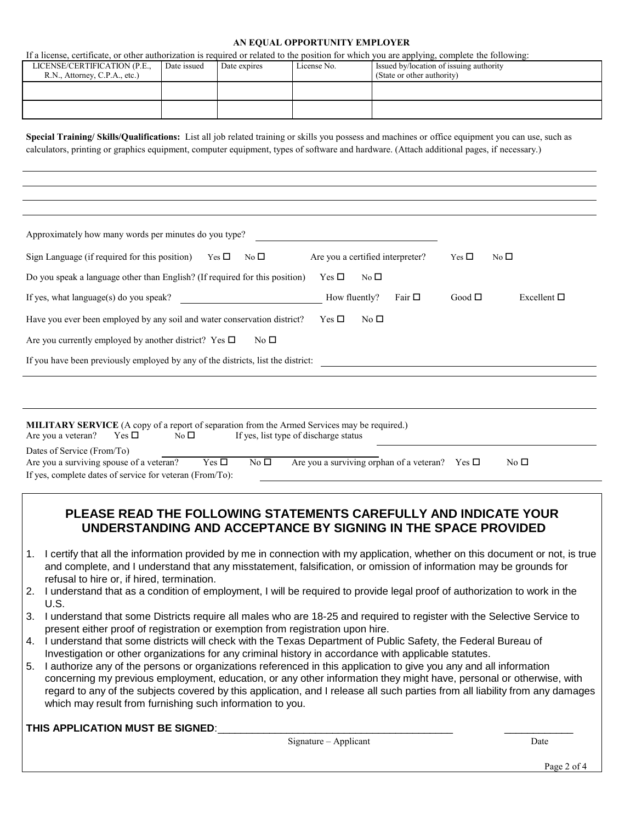## **AN EQUAL OPPORTUNITY EMPLOYER**

If a license, certificate, or other authorization is required or related to the position for which you are applying, complete the following:

|                               |             |              |             | .                                       |
|-------------------------------|-------------|--------------|-------------|-----------------------------------------|
| LICENSE/CERTIFICATION (P.E.,  | Date issued | Date expires | License No. | Issued by/location of issuing authority |
| R.N., Attorney, C.P.A., etc.) |             |              |             | (State or other authority)              |
|                               |             |              |             |                                         |
|                               |             |              |             |                                         |
|                               |             |              |             |                                         |
|                               |             |              |             |                                         |

**Special Training/ Skills/Qualifications:** List all job related training or skills you possess and machines or office equipment you can use, such as calculators, printing or graphics equipment, computer equipment, types of software and hardware. (Attach additional pages, if necessary.)

| Approximately how many words per minutes do you type?                                                                                                                                                                                            |
|--------------------------------------------------------------------------------------------------------------------------------------------------------------------------------------------------------------------------------------------------|
| Sign Language (if required for this position) Yes $\Box$<br>Are you a certified interpreter?<br>No $\square$<br>Yes $\square$<br>No $\square$                                                                                                    |
| Do you speak a language other than English? (If required for this position)<br>Yes $\square$<br>No $\square$                                                                                                                                     |
| Fair $\Box$<br>If yes, what language(s) do you speak?<br>How fluently?<br>Good $\Box$<br>Excellent $\square$                                                                                                                                     |
| Have you ever been employed by any soil and water conservation district?<br>No $\square$<br>Yes $\square$                                                                                                                                        |
| Are you currently employed by another district? Yes $\Box$<br>No $\square$                                                                                                                                                                       |
| If you have been previously employed by any of the districts, list the district:                                                                                                                                                                 |
|                                                                                                                                                                                                                                                  |
|                                                                                                                                                                                                                                                  |
| <b>MILITARY SERVICE</b> (A copy of a report of separation from the Armed Services may be required.)<br>If yes, list type of discharge status<br>Are you a veteran?<br>Yes $\square$<br>No $\square$                                              |
| Dates of Service (From/To)<br>Are you a surviving orphan of a veteran? Yes $\square$<br>No <sub>1</sub><br>Yes $\Box$<br>Are you a surviving spouse of a veteran?<br>No <sub>1</sub><br>If yes, complete dates of service for veteran (From/To): |

## **PLEASE READ THE FOLLOWING STATEMENTS CAREFULLY AND INDICATE YOUR UNDERSTANDING AND ACCEPTANCE BY SIGNING IN THE SPACE PROVIDED**

- 1. I certify that all the information provided by me in connection with my application, whether on this document or not, is true and complete, and I understand that any misstatement, falsification, or omission of information may be grounds for refusal to hire or, if hired, termination.
- 2. I understand that as a condition of employment, I will be required to provide legal proof of authorization to work in the  $U.S.$
- 3. I understand that some Districts require all males who are 18-25 and required to register with the Selective Service to present either proof of registration or exemption from registration upon hire.
- 4. I understand that some districts will check with the Texas Department of Public Safety, the Federal Bureau of Investigation or other organizations for any criminal history in accordance with applicable statutes.
- 5. I authorize any of the persons or organizations referenced in this application to give you any and all information concerning my previous employment, education, or any other information they might have, personal or otherwise, with regard to any of the subjects covered by this application, and I release all such parties from all liability from any damages which may result from furnishing such information to you.

**THIS APPLICATION MUST BE SIGNED:** 

Signature – Applicant Date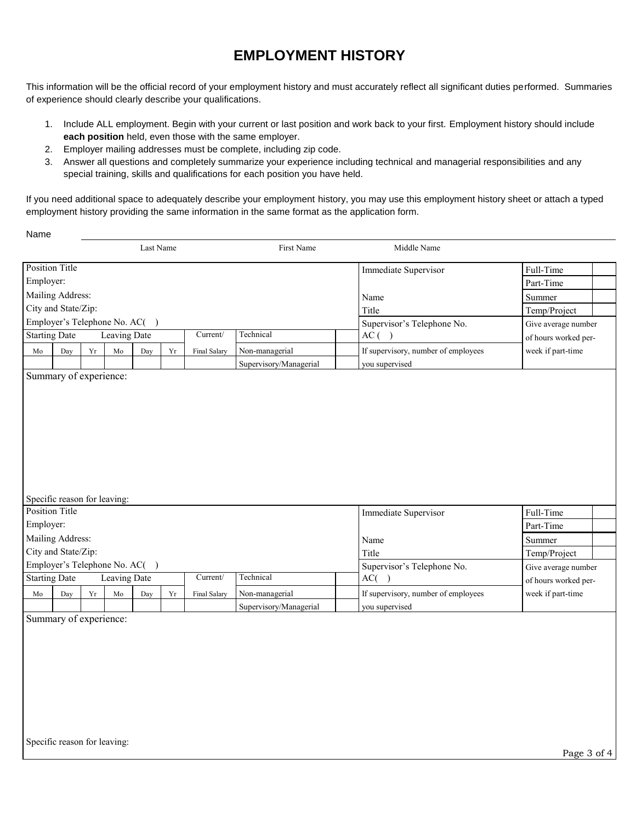## **EMPLOYMENT HISTORY**

This information will be the official record of your employment history and must accurately reflect all significant duties performed. Summaries of experience should clearly describe your qualifications.

- 1. Include ALL employment. Begin with your current or last position and work back to your first. Employment history should include **each position** held, even those with the same employer.
- 2. Employer mailing addresses must be complete, including zip code.
- 3. Answer all questions and completely summarize your experience including technical and managerial responsibilities and any special training, skills and qualifications for each position you have held.

If you need additional space to adequately describe your employment history, you may use this employment history sheet or attach a typed employment history providing the same information in the same format as the application form.

Name

|                       |                               |            |                     | Last Name                     |            |              | First Name                               | Middle Name                         |                                           |
|-----------------------|-------------------------------|------------|---------------------|-------------------------------|------------|--------------|------------------------------------------|-------------------------------------|-------------------------------------------|
| <b>Position Title</b> |                               |            |                     |                               |            |              |                                          | Immediate Supervisor                | Full-Time                                 |
| Employer:             |                               |            |                     |                               |            |              |                                          |                                     | Part-Time                                 |
|                       | Mailing Address:              |            |                     |                               |            |              |                                          | Name                                | Summer                                    |
|                       | City and State/Zip:           |            |                     |                               |            |              |                                          | Title                               | Temp/Project                              |
|                       | Employer's Telephone No. AC() |            |                     |                               |            |              |                                          | Supervisor's Telephone No.          | Give average number                       |
| <b>Starting Date</b>  |                               |            | <b>Leaving Date</b> |                               |            | Current/     | Technical                                | AC( )                               | of hours worked per-                      |
| Mo                    | Day                           | ${\rm Yr}$ | $\rm Mo$            | Day                           | ${\rm Yr}$ | Final Salary | Non-managerial                           | If supervisory, number of employees | week if part-time                         |
|                       |                               |            |                     |                               |            |              | Supervisory/Managerial                   | you supervised                      |                                           |
|                       | Specific reason for leaving:  |            |                     |                               |            |              |                                          |                                     |                                           |
| <b>Position Title</b> |                               |            |                     |                               |            |              |                                          | Immediate Supervisor                | Full-Time                                 |
| Employer:             |                               |            |                     |                               |            |              |                                          |                                     | Part-Time                                 |
|                       | Mailing Address:              |            |                     |                               |            |              |                                          | Name                                | Summer                                    |
|                       | City and State/Zip:           |            |                     | Employer's Telephone No. AC() |            |              |                                          | Title                               | Temp/Project                              |
| <b>Starting Date</b>  |                               |            | <b>Leaving Date</b> |                               |            | Current/     | Technical                                | Supervisor's Telephone No.<br>AC( ) | Give average number                       |
|                       |                               |            |                     |                               |            |              |                                          | If supervisory, number of employees | of hours worked per-<br>week if part-time |
| Mo                    | Day                           | Yr         | Mo                  | Day                           | Yr         | Final Salary | Non-managerial<br>Supervisory/Managerial | you supervised                      |                                           |
|                       | Summary of experience:        |            |                     |                               |            |              |                                          |                                     |                                           |
|                       |                               |            |                     |                               |            |              |                                          |                                     |                                           |